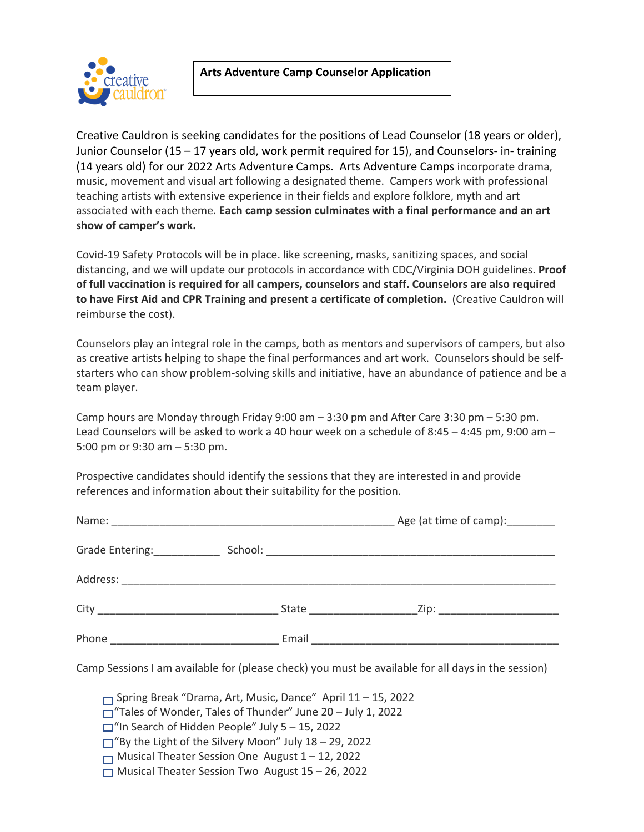



Creative Cauldron is seeking candidates for the positions of Lead Counselor (18 years or older), Junior Counselor (15 – 17 years old, work permit required for 15), and Counselors- in- training (14 years old) for our 2022 Arts Adventure Camps. Arts Adventure Camps incorporate drama, music, movement and visual art following a designated theme. Campers work with professional teaching artists with extensive experience in their fields and explore folklore, myth and art associated with each theme. **Each camp session culminates with a final performance and an art show of camper's work.**

Covid-19 Safety Protocols will be in place. like screening, masks, sanitizing spaces, and social distancing, and we will update our protocols in accordance with CDC/Virginia DOH guidelines. **Proof of full vaccination is required for all campers, counselors and staff. Counselors are also required to have First Aid and CPR Training and present a certificate of completion.** (Creative Cauldron will reimburse the cost).

Counselors play an integral role in the camps, both as mentors and supervisors of campers, but also as creative artists helping to shape the final performances and art work. Counselors should be selfstarters who can show problem-solving skills and initiative, have an abundance of patience and be a team player.

Camp hours are Monday through Friday 9:00 am – 3:30 pm and After Care 3:30 pm – 5:30 pm. Lead Counselors will be asked to work a 40 hour week on a schedule of 8:45 – 4:45 pm, 9:00 am – 5:00 pm or 9:30 am – 5:30 pm.

Prospective candidates should identify the sessions that they are interested in and provide references and information about their suitability for the position.

|                             |                            | Age (at time of camp): _______ |
|-----------------------------|----------------------------|--------------------------------|
| Grade Entering: ___________ |                            |                                |
|                             |                            |                                |
|                             | State ____________________ |                                |
| Phone                       | Email                      |                                |

Camp Sessions I am available for (please check) you must be available for all days in the session)

Spring Break "Drama, Art, Music, Dance" April 11 – 15, 2022

 $\Box$  "Tales of Wonder, Tales of Thunder" June 20 – July 1, 2022

 $\Box$ "In Search of Hidden People" July 5 - 15, 2022

 $\Box$ "By the Light of the Silvery Moon" July 18 – 29, 2022

 $\Box$  Musical Theater Session One August 1 – 12, 2022

 $\Box$  Musical Theater Session Two August 15 – 26, 2022